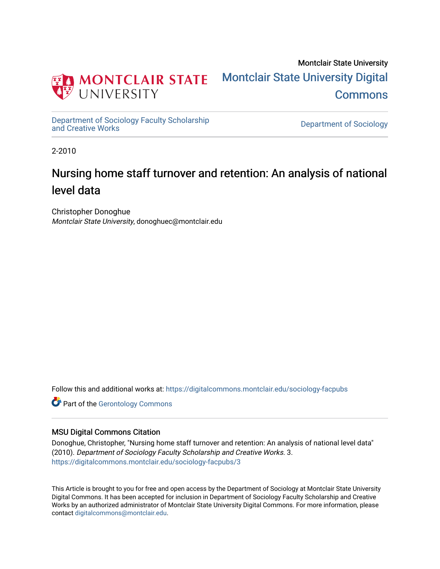

Montclair State University [Montclair State University Digital](https://digitalcommons.montclair.edu/)  **Commons** 

[Department of Sociology Faculty Scholarship](https://digitalcommons.montclair.edu/sociology-facpubs)

Department of Sociology

2-2010

# Nursing home staff turnover and retention: An analysis of national level data

Christopher Donoghue Montclair State University, donoghuec@montclair.edu

Follow this and additional works at: [https://digitalcommons.montclair.edu/sociology-facpubs](https://digitalcommons.montclair.edu/sociology-facpubs?utm_source=digitalcommons.montclair.edu%2Fsociology-facpubs%2F3&utm_medium=PDF&utm_campaign=PDFCoverPages)

**Part of the Gerontology Commons** 

# MSU Digital Commons Citation

Donoghue, Christopher, "Nursing home staff turnover and retention: An analysis of national level data" (2010). Department of Sociology Faculty Scholarship and Creative Works. 3. [https://digitalcommons.montclair.edu/sociology-facpubs/3](https://digitalcommons.montclair.edu/sociology-facpubs/3?utm_source=digitalcommons.montclair.edu%2Fsociology-facpubs%2F3&utm_medium=PDF&utm_campaign=PDFCoverPages) 

This Article is brought to you for free and open access by the Department of Sociology at Montclair State University Digital Commons. It has been accepted for inclusion in Department of Sociology Faculty Scholarship and Creative Works by an authorized administrator of Montclair State University Digital Commons. For more information, please contact [digitalcommons@montclair.edu](mailto:digitalcommons@montclair.edu).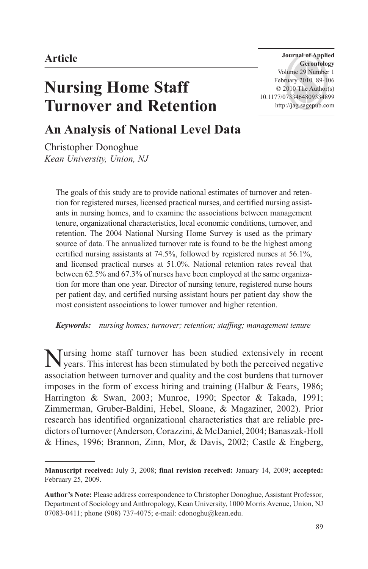# **Nursing Home Staff Turnover and Retention**

# **An Analysis of National Level Data**

Christopher Donoghue *Kean University, Union, NJ*

**Journal of Applied Gerontology** Volume 29 Number 1 February 2010 89-106 © 2010 The Author(s) 10.1177/0733464809334899 http://jag.sagepub.com

The goals of this study are to provide national estimates of turnover and retention for registered nurses, licensed practical nurses, and certified nursing assistants in nursing homes, and to examine the associations between management tenure, organizational characteristics, local economic conditions, turnover, and retention. The 2004 National Nursing Home Survey is used as the primary source of data. The annualized turnover rate is found to be the highest among certified nursing assistants at 74.5%, followed by registered nurses at 56.1%, and licensed practical nurses at 51.0%. National retention rates reveal that between 62.5% and 67.3% of nurses have been employed at the same organization for more than one year. Director of nursing tenure, registered nurse hours per patient day, and certified nursing assistant hours per patient day show the most consistent associations to lower turnover and higher retention.

*Keywords: nursing homes; turnover; retention; staffing; management tenure*

ursing home staff turnover has been studied extensively in recent years. This interest has been stimulated by both the perceived negative association between turnover and quality and the cost burdens that turnover imposes in the form of excess hiring and training (Halbur & Fears, 1986; Harrington & Swan, 2003; Munroe, 1990; Spector & Takada, 1991; Zimmerman, Gruber-Baldini, Hebel, Sloane, & Magaziner, 2002). Prior research has identified organizational characteristics that are reliable predictors of turnover (Anderson, Corazzini, & McDaniel, 2004; Banaszak-Holl & Hines, 1996; Brannon, Zinn, Mor, & Davis, 2002; Castle & Engberg,

**Manuscript received:** July 3, 2008; **final revision received:** January 14, 2009; **accepted:** February 25, 2009.

**Author's Note:** Please address correspondence to Christopher Donoghue, Assistant Professor, Department of Sociology and Anthropology, Kean University, 1000 Morris Avenue, Union, NJ 07083-0411; phone (908) 737-4075; e-mail: cdonoghu@kean.edu.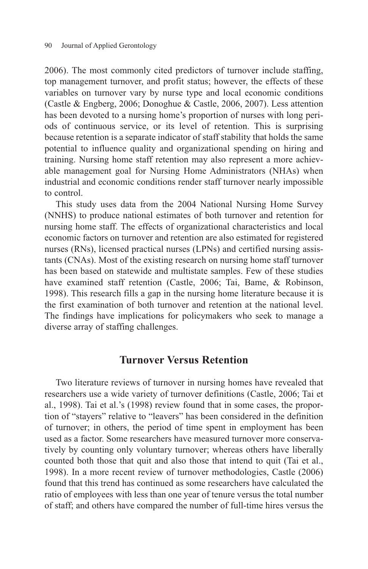2006). The most commonly cited predictors of turnover include staffing, top management turnover, and profit status; however, the effects of these variables on turnover vary by nurse type and local economic conditions (Castle & Engberg, 2006; Donoghue & Castle, 2006, 2007). Less attention has been devoted to a nursing home's proportion of nurses with long periods of continuous service, or its level of retention. This is surprising because retention is a separate indicator of staff stability that holds the same potential to influence quality and organizational spending on hiring and training. Nursing home staff retention may also represent a more achievable management goal for Nursing Home Administrators (NHAs) when industrial and economic conditions render staff turnover nearly impossible to control.

This study uses data from the 2004 National Nursing Home Survey (NNHS) to produce national estimates of both turnover and retention for nursing home staff. The effects of organizational characteristics and local economic factors on turnover and retention are also estimated for registered nurses (RNs), licensed practical nurses (LPNs) and certified nursing assistants (CNAs). Most of the existing research on nursing home staff turnover has been based on statewide and multistate samples. Few of these studies have examined staff retention (Castle, 2006; Tai, Bame, & Robinson, 1998). This research fills a gap in the nursing home literature because it is the first examination of both turnover and retention at the national level. The findings have implications for policymakers who seek to manage a diverse array of staffing challenges.

#### **Turnover Versus Retention**

Two literature reviews of turnover in nursing homes have revealed that researchers use a wide variety of turnover definitions (Castle, 2006; Tai et al., 1998). Tai et al.'s (1998) review found that in some cases, the proportion of "stayers" relative to "leavers" has been considered in the definition of turnover; in others, the period of time spent in employment has been used as a factor. Some researchers have measured turnover more conservatively by counting only voluntary turnover; whereas others have liberally counted both those that quit and also those that intend to quit (Tai et al., 1998). In a more recent review of turnover methodologies, Castle (2006) found that this trend has continued as some researchers have calculated the ratio of employees with less than one year of tenure versus the total number of staff; and others have compared the number of full-time hires versus the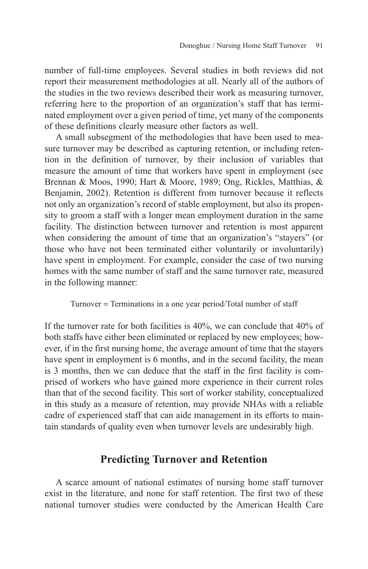number of full-time employees. Several studies in both reviews did not report their measurement methodologies at all. Nearly all of the authors of the studies in the two reviews described their work as measuring turnover, referring here to the proportion of an organization's staff that has terminated employment over a given period of time, yet many of the components of these definitions clearly measure other factors as well.

A small subsegment of the methodologies that have been used to measure turnover may be described as capturing retention, or including retention in the definition of turnover, by their inclusion of variables that measure the amount of time that workers have spent in employment (see Brennan & Moos, 1990; Hart & Moore, 1989; Ong, Rickles, Matthias, & Benjamin, 2002). Retention is different from turnover because it reflects not only an organization's record of stable employment, but also its propensity to groom a staff with a longer mean employment duration in the same facility. The distinction between turnover and retention is most apparent when considering the amount of time that an organization's "stayers" (or those who have not been terminated either voluntarily or involuntarily) have spent in employment. For example, consider the case of two nursing homes with the same number of staff and the same turnover rate, measured in the following manner:

#### Turnover = Terminations in a one year period/Total number of staff

If the turnover rate for both facilities is 40%, we can conclude that 40% of both staffs have either been eliminated or replaced by new employees; however, if in the first nursing home, the average amount of time that the stayers have spent in employment is 6 months, and in the second facility, the mean is 3 months, then we can deduce that the staff in the first facility is comprised of workers who have gained more experience in their current roles than that of the second facility. This sort of worker stability, conceptualized in this study as a measure of retention, may provide NHAs with a reliable cadre of experienced staff that can aide management in its efforts to maintain standards of quality even when turnover levels are undesirably high.

# **Predicting Turnover and Retention**

A scarce amount of national estimates of nursing home staff turnover exist in the literature, and none for staff retention. The first two of these national turnover studies were conducted by the American Health Care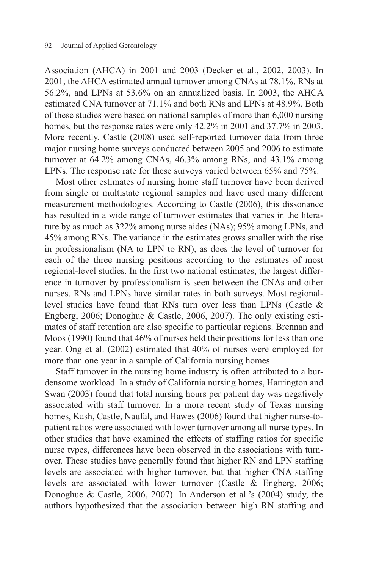Association (AHCA) in 2001 and 2003 (Decker et al., 2002, 2003). In 2001, the AHCA estimated annual turnover among CNAs at 78.1%, RNs at 56.2%, and LPNs at 53.6% on an annualized basis. In 2003, the AHCA estimated CNA turnover at 71.1% and both RNs and LPNs at 48.9%. Both of these studies were based on national samples of more than 6,000 nursing homes, but the response rates were only 42.2% in 2001 and 37.7% in 2003. More recently, Castle (2008) used self-reported turnover data from three major nursing home surveys conducted between 2005 and 2006 to estimate turnover at 64.2% among CNAs, 46.3% among RNs, and 43.1% among LPNs. The response rate for these surveys varied between 65% and 75%.

Most other estimates of nursing home staff turnover have been derived from single or multistate regional samples and have used many different measurement methodologies. According to Castle (2006), this dissonance has resulted in a wide range of turnover estimates that varies in the literature by as much as 322% among nurse aides (NAs); 95% among LPNs, and 45% among RNs. The variance in the estimates grows smaller with the rise in professionalism (NA to LPN to RN), as does the level of turnover for each of the three nursing positions according to the estimates of most regional-level studies. In the first two national estimates, the largest difference in turnover by professionalism is seen between the CNAs and other nurses. RNs and LPNs have similar rates in both surveys. Most regionallevel studies have found that RNs turn over less than LPNs (Castle & Engberg, 2006; Donoghue & Castle, 2006, 2007). The only existing estimates of staff retention are also specific to particular regions. Brennan and Moos (1990) found that 46% of nurses held their positions for less than one year. Ong et al. (2002) estimated that 40% of nurses were employed for more than one year in a sample of California nursing homes.

Staff turnover in the nursing home industry is often attributed to a burdensome workload. In a study of California nursing homes, Harrington and Swan (2003) found that total nursing hours per patient day was negatively associated with staff turnover. In a more recent study of Texas nursing homes, Kash, Castle, Naufal, and Hawes (2006) found that higher nurse-topatient ratios were associated with lower turnover among all nurse types. In other studies that have examined the effects of staffing ratios for specific nurse types, differences have been observed in the associations with turnover. These studies have generally found that higher RN and LPN staffing levels are associated with higher turnover, but that higher CNA staffing levels are associated with lower turnover (Castle & Engberg, 2006; Donoghue & Castle, 2006, 2007). In Anderson et al.'s (2004) study, the authors hypothesized that the association between high RN staffing and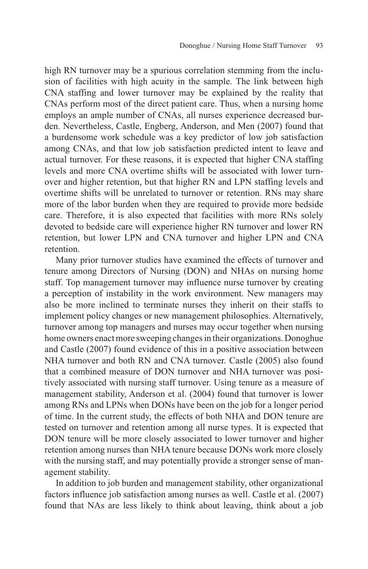high RN turnover may be a spurious correlation stemming from the inclusion of facilities with high acuity in the sample. The link between high CNA staffing and lower turnover may be explained by the reality that CNAs perform most of the direct patient care. Thus, when a nursing home employs an ample number of CNAs, all nurses experience decreased burden. Nevertheless, Castle, Engberg, Anderson, and Men (2007) found that a burdensome work schedule was a key predictor of low job satisfaction among CNAs, and that low job satisfaction predicted intent to leave and actual turnover. For these reasons, it is expected that higher CNA staffing levels and more CNA overtime shifts will be associated with lower turnover and higher retention, but that higher RN and LPN staffing levels and overtime shifts will be unrelated to turnover or retention. RNs may share more of the labor burden when they are required to provide more bedside care. Therefore, it is also expected that facilities with more RNs solely devoted to bedside care will experience higher RN turnover and lower RN retention, but lower LPN and CNA turnover and higher LPN and CNA retention.

Many prior turnover studies have examined the effects of turnover and tenure among Directors of Nursing (DON) and NHAs on nursing home staff. Top management turnover may influence nurse turnover by creating a perception of instability in the work environment. New managers may also be more inclined to terminate nurses they inherit on their staffs to implement policy changes or new management philosophies. Alternatively, turnover among top managers and nurses may occur together when nursing home owners enact more sweeping changes in their organizations. Donoghue and Castle (2007) found evidence of this in a positive association between NHA turnover and both RN and CNA turnover. Castle (2005) also found that a combined measure of DON turnover and NHA turnover was positively associated with nursing staff turnover. Using tenure as a measure of management stability, Anderson et al. (2004) found that turnover is lower among RNs and LPNs when DONs have been on the job for a longer period of time. In the current study, the effects of both NHA and DON tenure are tested on turnover and retention among all nurse types. It is expected that DON tenure will be more closely associated to lower turnover and higher retention among nurses than NHA tenure because DONs work more closely with the nursing staff, and may potentially provide a stronger sense of management stability.

In addition to job burden and management stability, other organizational factors influence job satisfaction among nurses as well. Castle et al. (2007) found that NAs are less likely to think about leaving, think about a job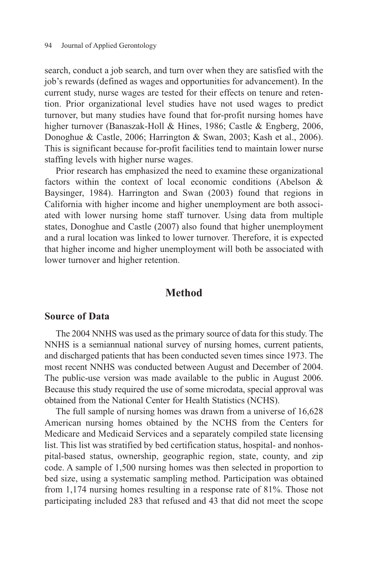search, conduct a job search, and turn over when they are satisfied with the job's rewards (defined as wages and opportunities for advancement). In the current study, nurse wages are tested for their effects on tenure and retention. Prior organizational level studies have not used wages to predict turnover, but many studies have found that for-profit nursing homes have higher turnover (Banaszak-Holl & Hines, 1986; Castle & Engberg, 2006, Donoghue & Castle, 2006; Harrington & Swan, 2003; Kash et al., 2006). This is significant because for-profit facilities tend to maintain lower nurse staffing levels with higher nurse wages.

Prior research has emphasized the need to examine these organizational factors within the context of local economic conditions (Abelson & Baysinger, 1984). Harrington and Swan (2003) found that regions in California with higher income and higher unemployment are both associated with lower nursing home staff turnover. Using data from multiple states, Donoghue and Castle (2007) also found that higher unemployment and a rural location was linked to lower turnover. Therefore, it is expected that higher income and higher unemployment will both be associated with lower turnover and higher retention.

#### **Method**

#### **Source of Data**

The 2004 NNHS was used as the primary source of data for this study. The NNHS is a semiannual national survey of nursing homes, current patients, and discharged patients that has been conducted seven times since 1973. The most recent NNHS was conducted between August and December of 2004. The public-use version was made available to the public in August 2006. Because this study required the use of some microdata, special approval was obtained from the National Center for Health Statistics (NCHS).

The full sample of nursing homes was drawn from a universe of 16,628 American nursing homes obtained by the NCHS from the Centers for Medicare and Medicaid Services and a separately compiled state licensing list. This list was stratified by bed certification status, hospital- and nonhospital-based status, ownership, geographic region, state, county, and zip code. A sample of 1,500 nursing homes was then selected in proportion to bed size, using a systematic sampling method. Participation was obtained from 1,174 nursing homes resulting in a response rate of 81%. Those not participating included 283 that refused and 43 that did not meet the scope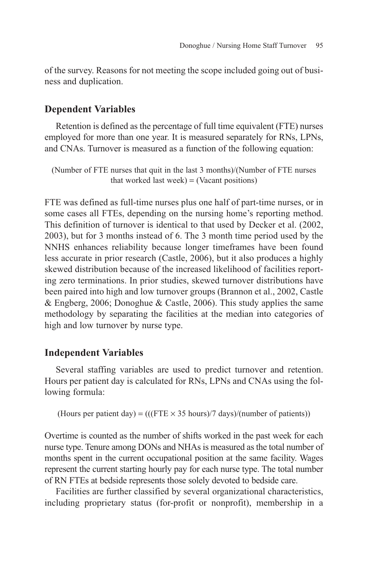of the survey. Reasons for not meeting the scope included going out of business and duplication.

#### **Dependent Variables**

Retention is defined as the percentage of full time equivalent (FTE) nurses employed for more than one year. It is measured separately for RNs, LPNs, and CNAs. Turnover is measured as a function of the following equation:

(Number of FTE nurses that quit in the last 3 months)/(Number of FTE nurses that worked last week $) = (Vacant positions)$ 

FTE was defined as full-time nurses plus one half of part-time nurses, or in some cases all FTEs, depending on the nursing home's reporting method. This definition of turnover is identical to that used by Decker et al. (2002, 2003), but for 3 months instead of 6. The 3 month time period used by the NNHS enhances reliability because longer timeframes have been found less accurate in prior research (Castle, 2006), but it also produces a highly skewed distribution because of the increased likelihood of facilities reporting zero terminations. In prior studies, skewed turnover distributions have been paired into high and low turnover groups (Brannon et al., 2002, Castle & Engberg, 2006; Donoghue & Castle, 2006). This study applies the same methodology by separating the facilities at the median into categories of high and low turnover by nurse type.

#### **Independent Variables**

Several staffing variables are used to predict turnover and retention. Hours per patient day is calculated for RNs, LPNs and CNAs using the following formula:

(Hours per patient day) = (((FTE  $\times$  35 hours)/7 days)/(number of patients))

Overtime is counted as the number of shifts worked in the past week for each nurse type. Tenure among DONs and NHAs is measured as the total number of months spent in the current occupational position at the same facility. Wages represent the current starting hourly pay for each nurse type. The total number of RN FTEs at bedside represents those solely devoted to bedside care.

Facilities are further classified by several organizational characteristics, including proprietary status (for-profit or nonprofit), membership in a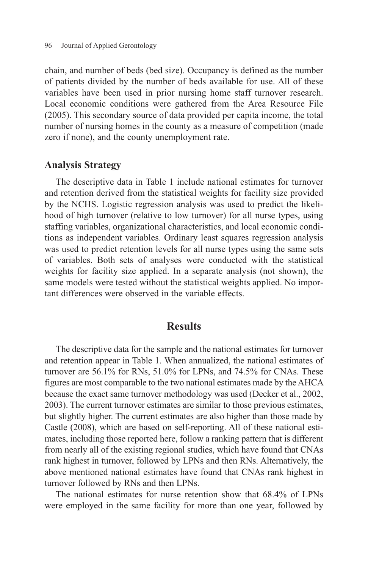chain, and number of beds (bed size). Occupancy is defined as the number of patients divided by the number of beds available for use. All of these variables have been used in prior nursing home staff turnover research. Local economic conditions were gathered from the Area Resource File (2005). This secondary source of data provided per capita income, the total number of nursing homes in the county as a measure of competition (made zero if none), and the county unemployment rate.

#### **Analysis Strategy**

The descriptive data in Table 1 include national estimates for turnover and retention derived from the statistical weights for facility size provided by the NCHS. Logistic regression analysis was used to predict the likelihood of high turnover (relative to low turnover) for all nurse types, using staffing variables, organizational characteristics, and local economic conditions as independent variables. Ordinary least squares regression analysis was used to predict retention levels for all nurse types using the same sets of variables. Both sets of analyses were conducted with the statistical weights for facility size applied. In a separate analysis (not shown), the same models were tested without the statistical weights applied. No important differences were observed in the variable effects.

### **Results**

The descriptive data for the sample and the national estimates for turnover and retention appear in Table 1. When annualized, the national estimates of turnover are 56.1% for RNs, 51.0% for LPNs, and 74.5% for CNAs. These figures are most comparable to the two national estimates made by the AHCA because the exact same turnover methodology was used (Decker et al., 2002, 2003). The current turnover estimates are similar to those previous estimates, but slightly higher. The current estimates are also higher than those made by Castle (2008), which are based on self-reporting. All of these national estimates, including those reported here, follow a ranking pattern that is different from nearly all of the existing regional studies, which have found that CNAs rank highest in turnover, followed by LPNs and then RNs. Alternatively, the above mentioned national estimates have found that CNAs rank highest in turnover followed by RNs and then LPNs.

The national estimates for nurse retention show that 68.4% of LPNs were employed in the same facility for more than one year, followed by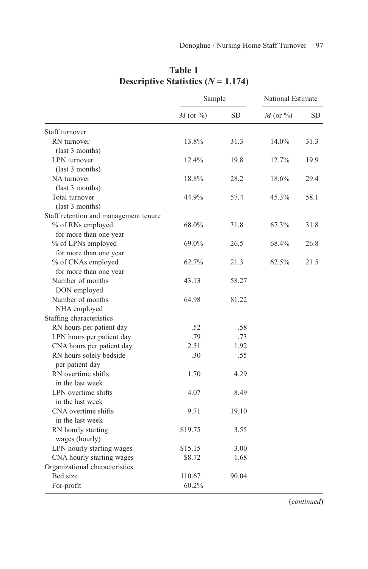|                                       | Sample         |       | <b>National Estimate</b> |      |
|---------------------------------------|----------------|-------|--------------------------|------|
|                                       | $M$ (or $\%$ ) | SD    | $M$ (or %)               | SD   |
| Staff turnover                        |                |       |                          |      |
| RN turnover                           | 13.8%          | 31.3  | 14.0%                    | 31.3 |
| (last 3 months)                       |                |       |                          |      |
| LPN turnover                          | 12.4%          | 19.8  | 12.7%                    | 19.9 |
| (last 3 months)                       |                |       |                          |      |
| NA turnover                           | 18.8%          | 28.2  | 18.6%                    | 29.4 |
| (last 3 months)                       |                |       |                          |      |
| Total turnover                        | 44.9%          | 57.4  | 45.3%                    | 58.1 |
| (last 3 months)                       |                |       |                          |      |
| Staff retention and management tenure |                |       |                          |      |
| % of RNs employed                     | 68.0%          | 31.8  | 67.3%                    | 31.8 |
| for more than one year                |                |       |                          |      |
| % of LPNs employed                    | 69.0%          | 26.5  | 68.4%                    | 26.8 |
| for more than one year                |                |       |                          |      |
| % of CNAs employed                    | 62.7%          | 21.3  | 62.5%                    | 21.5 |
| for more than one year                |                |       |                          |      |
| Number of months                      | 43.13          | 58.27 |                          |      |
| DON employed                          |                |       |                          |      |
| Number of months                      | 64.98          | 81.22 |                          |      |
| NHA employed                          |                |       |                          |      |
| Staffing characteristics              |                |       |                          |      |
| RN hours per patient day              | .52            | .58   |                          |      |
| LPN hours per patient day             | .79            | .73   |                          |      |
| CNA hours per patient day             | 2.51           | 1.92  |                          |      |
| RN hours solely bedside               | .30            | .55   |                          |      |
| per patient day                       |                |       |                          |      |
| RN overtime shifts                    | 1.70           | 4.29  |                          |      |
| in the last week                      |                |       |                          |      |
| LPN overtime shifts                   | 4.07           | 8.49  |                          |      |
| in the last week                      |                |       |                          |      |
| CNA overtime shifts                   | 9.71           | 19.10 |                          |      |
| in the last week                      |                |       |                          |      |
| RN hourly starting                    | \$19.75        | 3.55  |                          |      |
| wages (hourly)                        |                |       |                          |      |
| LPN hourly starting wages             | \$15.15        | 3.00  |                          |      |
| CNA hourly starting wages             | \$8.72         | 1.68  |                          |      |
| Organizational characteristics        |                |       |                          |      |
| Bed size                              | 110.67         | 90.04 |                          |      |
| For-profit                            | 60.2%          |       |                          |      |

**Table 1 Descriptive Statistics (***N* = **1,174)**

(*continued*)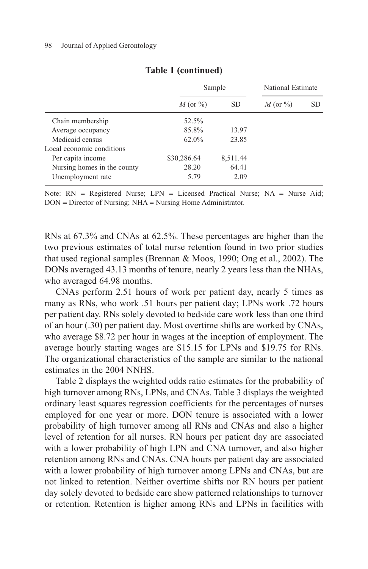|                             |                | Sample   | National Estimate |     |
|-----------------------------|----------------|----------|-------------------|-----|
|                             | $M$ (or $\%$ ) | SD.      | $M$ (or $\%$ )    | SD. |
| Chain membership            | 52.5%          |          |                   |     |
| Average occupancy           | 85.8%          | 13.97    |                   |     |
| Medicaid census             | 62.0%          | 23.85    |                   |     |
| Local economic conditions   |                |          |                   |     |
| Per capita income           | \$30,286.64    | 8,511.44 |                   |     |
| Nursing homes in the county | 28.20          | 64.41    |                   |     |
| Unemployment rate           | 5.79           | 2.09     |                   |     |

**Table 1 (continued)**

Note: RN = Registered Nurse; LPN = Licensed Practical Nurse; NA = Nurse Aid; DON = Director of Nursing; NHA = Nursing Home Administrator.

RNs at 67.3% and CNAs at 62.5%. These percentages are higher than the two previous estimates of total nurse retention found in two prior studies that used regional samples (Brennan & Moos, 1990; Ong et al., 2002). The DONs averaged 43.13 months of tenure, nearly 2 years less than the NHAs, who averaged 64.98 months.

CNAs perform 2.51 hours of work per patient day, nearly 5 times as many as RNs, who work .51 hours per patient day; LPNs work .72 hours per patient day. RNs solely devoted to bedside care work less than one third of an hour (.30) per patient day. Most overtime shifts are worked by CNAs, who average \$8.72 per hour in wages at the inception of employment. The average hourly starting wages are \$15.15 for LPNs and \$19.75 for RNs. The organizational characteristics of the sample are similar to the national estimates in the 2004 NNHS.

Table 2 displays the weighted odds ratio estimates for the probability of high turnover among RNs, LPNs, and CNAs. Table 3 displays the weighted ordinary least squares regression coefficients for the percentages of nurses employed for one year or more. DON tenure is associated with a lower probability of high turnover among all RNs and CNAs and also a higher level of retention for all nurses. RN hours per patient day are associated with a lower probability of high LPN and CNA turnover, and also higher retention among RNs and CNAs. CNA hours per patient day are associated with a lower probability of high turnover among LPNs and CNAs, but are not linked to retention. Neither overtime shifts nor RN hours per patient day solely devoted to bedside care show patterned relationships to turnover or retention. Retention is higher among RNs and LPNs in facilities with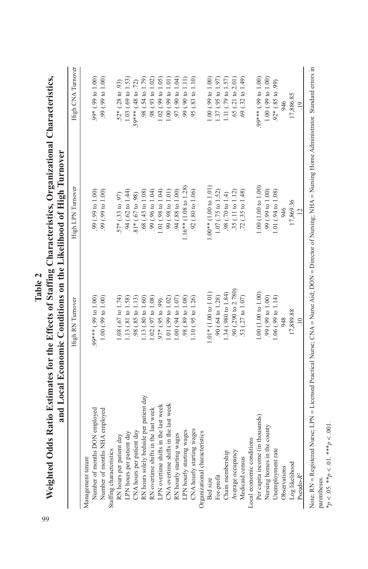|                                         | High RN Turnover            | High LPN Turnover         | High CNA Turnover           |
|-----------------------------------------|-----------------------------|---------------------------|-----------------------------|
| Management tenure                       |                             |                           |                             |
| Number of months DON employed           | 99*** (.99 to 1.00)         | 99 (.99 to 1.00)          | 99* (.99 to 1.00)           |
| Number of months NHA employed           | 1.00(0.99 to 1.00)          | .99 (.99 to 1.00)         | $(001.00)$ to 1,000         |
| Staffing characteristics                |                             |                           |                             |
| RN hours per patient day                | $1.08$ (.67 to 1.74)        | 57* (.33 to .97)          | $.52*(.28 \text{ to } .93)$ |
| LPN hours per patient day               | 1.13 (.81 to 1.58)          | $.94$ $(.62$ to $1.44$ )  | $1.03$ (.69 to $1.53$ )     |
| CNA hours per patient day               | $.98(.85 \text{ to } 1.13)$ | $.81*(.67 to .98)$        | $.59***$ (.48 to .72)       |
| RN hours solely bedside per patient day | 1.13(0.80 to 1.60)          | $.68$ $(.43$ to $1.08)$   | .98 (.54 to 1.79)           |
| RN overtime shifts in the last week     | $1.02$ (.97 to $1.08$ )     | $.99$ $(.96$ to $1.04$ )  | $.98(.93 \text{ to } 1.02)$ |
| LPN overtime shifts in the last week    | (66.0156, 97)               | 1.01 (.98 to 1.04)        | 1.02(0.90 to 1.05)          |
| CNA overtime shifts in the last week    | 1.01(09001.02)              | $.99$ $(.98$ to $1.01$    | (100(.99 to 1.01))          |
| RN hourly starting wages                | $1.00$ $(0.94$ to $1.07$    | .94 (.88 to 1.00)         | .97(.90 to 1.04)            |
| LPN hourly starting wages               | .98(.89 to 1.08)            | $1.16**$ (1.08 to 1.28)   | .99(0.90 to 1.11)           |
| CNA hourly starting wages               | 1.10(0.95 to 1.26)          | .92(.80 to 1.06)          | 95 (.83 to 1.10)            |
| Organizational characteristics          |                             |                           |                             |
| Bed size                                | $1.01*$ (1.00 to 1.01)      | $1.00**$ (1.00 to 1.01)   | $1.00$ $(0.99$ to $1.00)$   |
| For-profit                              | .90 (.64 to 1.28)           | 1.07 (.75 to 1.52)        | 1.37 (.95 to 1.97)          |
| Chain membership                        | .34(.980 to 1.84)           | .98 (.70 to 1.4)          | $1.11$ (.79 to $1.57$ )     |
| Average occupancy                       | 90 (.290 to 2.780)          | .35 (.11 to 1.12)         | $.65(0.21)$ to $2.01$       |
| Medicaid census                         | .53 (.27 to 1.07)           | $.72$ ( $.35$ to $1.48$ ) | $.69$ $(.32$ to $1.49$ )    |
| Local economic conditions               |                             |                           |                             |
| Per capita income (in thousands)        | 1.00(1.00 to 1.00)          | 1.00 (1.00 to 1.00)       | 99*** (.99 to 1.00)         |
| Nursing homes in the county             | 99 (.99 to 1.00)            | .99(.99 to 1.00)          | 1.00 (.99 to 1.00)          |
| Unemployment rate                       | 1.06(0.99 to 1.14)          | 1.01 (.94 to 1.08)        | $(66.01*(85.092)$           |
| Observations                            | 948                         | 946                       | 946                         |
| Log likelihood                          | 17,889.88                   | 17,869.36                 | 17,886.85                   |
| $Pseudo-R2$                             | $\Xi$                       | $\Xi$                     | $\frac{1}{2}$               |

|   |                                        | $\frac{1}{2}$                                                                                |
|---|----------------------------------------|----------------------------------------------------------------------------------------------|
|   |                                        | I<br>֧֪֧֧֪֧֧֧֪֧֦֧֧֪֧֪֧֪֧֪֧֧֪֞֟֓֟֓֬֟֓֟֓֟֓֬֓֓֓֓֓֓֓֟֓֓֓֓֓֓֟֓֟֓֡֓֬֓֓֓֓֓֓֓֓֝֬֓֓֓֓֓֝֬֓֝֬֝֓֝֬֓֝֬֝֬֝ |
| ι | ١                                      | Ĭ                                                                                            |
|   | Î<br>$\tilde{\text{c}}$<br>į           |                                                                                              |
|   | $-42$ of $\Gamma$ off matrix<br>ם<br>ء | <b>Case</b>                                                                                  |
|   | l                                      |                                                                                              |

99

Note: KN = Kegistered Nurse; LFN<br>parentheses.<br>\*  $p < .05$ , \*\*  $p < .01$ , \*\*\*  $p < .001$ . \**p* < .05. \*\**p* < .01. \*\*\**p* < .001. parentheses.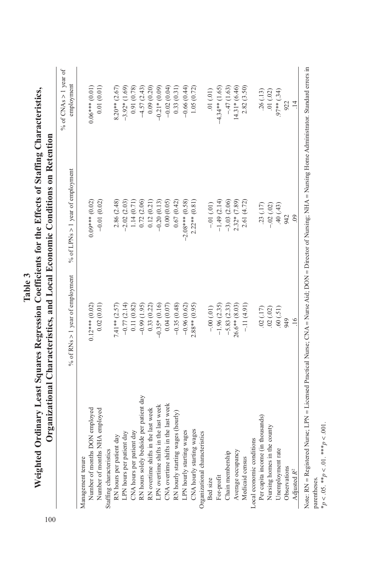| Number of months DON employed<br>Number of months NHA employed<br>Management tenure | % of RNs > 1 year of employment | % of LPNs > 1 year of employment | % of CNAs $> 1$ year of<br>employment |
|-------------------------------------------------------------------------------------|---------------------------------|----------------------------------|---------------------------------------|
|                                                                                     |                                 |                                  |                                       |
|                                                                                     |                                 |                                  |                                       |
|                                                                                     | $0.12***$ (0.02)                | $0.09***$ (0.02)                 | $0.06***$ (0.01)                      |
|                                                                                     | 0.02(0.01)                      | $-0.01(0.02)$                    | 0.01(0.01)                            |
| Staffing characteristics                                                            |                                 |                                  |                                       |
| RN hours per patient day                                                            | $.41**$ (2.57)                  | 2.86 (2.48)                      | $8.20** (2.67)$                       |
| LPN hours per patient day                                                           | $-0.77(2.14)$                   | $-2.02(2.03)$                    | $-3.92*(1.69)$                        |
| CNA hours per patient day                                                           | 0.11(0.82)                      | 1.14 (0.71)                      | 0.91(0.78)                            |
| RN hours solely bedside per patient day                                             | $-0.99(1.95)$                   | 0.72(2.06)                       | $-4.57(2.43)$                         |
| RN overtime shifts in the last week                                                 | 0.33(0.22)                      | 0.12(0.21)                       | 0.09(0.20)                            |
| PN overtime shifts in the last week                                                 | $-0.35*(0.16)$                  | $-0.20(0.13)$                    | $-0.21*(0.09)$                        |
| CNA overtime shifts in the last week                                                | 0.04(0.07)                      | 0.00(0.05)                       | $-0.02(0.04)$                         |
| RN hourly starting wages (hourly)                                                   | $-0.35(0.48)$                   | 0.67(0.42)                       | 0.33(0.31)                            |
| LPN hourly starting wages                                                           | $-0.96(0.62)$                   | $-2.08***$ (0.58)                | $-0.66(0.44)$                         |
| CNA hourly starting wages                                                           | $2.88**$ (0.95)                 | $2.22**$ (0.81)                  | 1.05(0.72)                            |
| Organizational characteristics                                                      |                                 |                                  |                                       |
| Bed size                                                                            | $-0.00(0.01)$                   | $-0.01(0.01)$                    | $(10)$ $10.$                          |
| For-profit                                                                          | $-1.96(2.35)$                   | $-1.49(2.14)$                    | $-4.34**$ (1.65)                      |
| Chain membership                                                                    | $-5.83(2.33)$                   | $-3.03(2.06)$                    | $-.47(1.63)$                          |
| Average occupancy                                                                   | $26.6**$ (8.03)                 | $2.32*(7.89)$                    | $14.31* (6.46)$                       |
| Medicaid census                                                                     | $-11(4.91)$                     | 2.61 (4.72)                      | 2.82 (3.50)                           |
| Local economic conditions                                                           |                                 |                                  |                                       |
| Per capita income (in thousands)                                                    | (17)                            | .23(.17)                         | .26(.13)                              |
| Nursing homes in the county                                                         | .02(.02)                        | $-0.02(0.02)$                    | .01(02)                               |
| Unemployment rate                                                                   | (151)                           | (43)                             | $.97**$ (.34)                         |
| Observations                                                                        | 949                             | 942                              | 922                                   |
| Adjusted $R^2$                                                                      | .16                             | $\ddot{\circ}$                   | $\overline{14}$                       |

Note: RN = Registered Nurse; LPN = Licensed Practical Nurse; CNA = Nurse Aid; DON = Director of Nursing; NHA = Nursing Home Administrator. Standard errors in lard errors in na mann Smrs Note: KN = Kegistered Nurse, LPN = Licenced Practical Nurse, CNA = Nurse Arti. 2010 = Director of Nurse; NHA = Nurse, LPN = L parentheses.<br>\* $p < .05.$ \*\* $p < .01.$ \*\*\* $p < .001.$ parentheses.

\**p* < .05. \*\**p* < .01. \*\*\**p* < .001.

**Table 3 Weighted Ordinary Least Squares Regression Coefficients for the Effects of Staffing Characteristics,** 

Weighted Ordinary Least Squares Regression Coefficients for the Effects of Staffing Characteristics,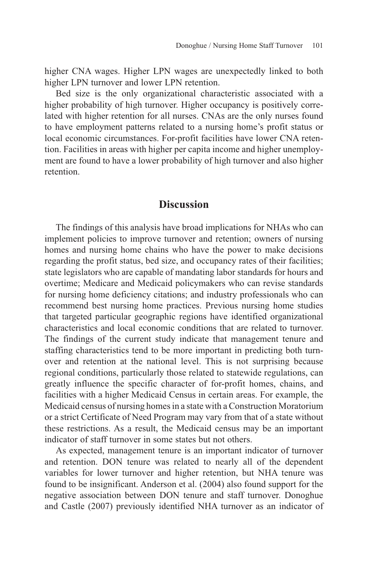higher CNA wages. Higher LPN wages are unexpectedly linked to both higher LPN turnover and lower LPN retention.

Bed size is the only organizational characteristic associated with a higher probability of high turnover. Higher occupancy is positively correlated with higher retention for all nurses. CNAs are the only nurses found to have employment patterns related to a nursing home's profit status or local economic circumstances. For-profit facilities have lower CNA retention. Facilities in areas with higher per capita income and higher unemployment are found to have a lower probability of high turnover and also higher retention.

### **Discussion**

The findings of this analysis have broad implications for NHAs who can implement policies to improve turnover and retention; owners of nursing homes and nursing home chains who have the power to make decisions regarding the profit status, bed size, and occupancy rates of their facilities; state legislators who are capable of mandating labor standards for hours and overtime; Medicare and Medicaid policymakers who can revise standards for nursing home deficiency citations; and industry professionals who can recommend best nursing home practices. Previous nursing home studies that targeted particular geographic regions have identified organizational characteristics and local economic conditions that are related to turnover. The findings of the current study indicate that management tenure and staffing characteristics tend to be more important in predicting both turnover and retention at the national level. This is not surprising because regional conditions, particularly those related to statewide regulations, can greatly influence the specific character of for-profit homes, chains, and facilities with a higher Medicaid Census in certain areas. For example, the Medicaid census of nursing homes in a state with a Construction Moratorium or a strict Certificate of Need Program may vary from that of a state without these restrictions. As a result, the Medicaid census may be an important indicator of staff turnover in some states but not others.

As expected, management tenure is an important indicator of turnover and retention. DON tenure was related to nearly all of the dependent variables for lower turnover and higher retention, but NHA tenure was found to be insignificant. Anderson et al. (2004) also found support for the negative association between DON tenure and staff turnover. Donoghue and Castle (2007) previously identified NHA turnover as an indicator of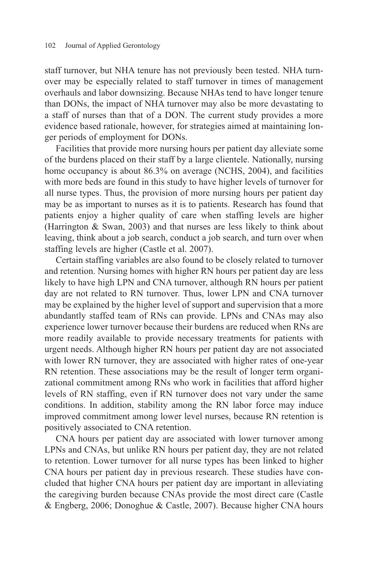staff turnover, but NHA tenure has not previously been tested. NHA turnover may be especially related to staff turnover in times of management overhauls and labor downsizing. Because NHAs tend to have longer tenure than DONs, the impact of NHA turnover may also be more devastating to a staff of nurses than that of a DON. The current study provides a more evidence based rationale, however, for strategies aimed at maintaining longer periods of employment for DONs.

Facilities that provide more nursing hours per patient day alleviate some of the burdens placed on their staff by a large clientele. Nationally, nursing home occupancy is about 86.3% on average (NCHS, 2004), and facilities with more beds are found in this study to have higher levels of turnover for all nurse types. Thus, the provision of more nursing hours per patient day may be as important to nurses as it is to patients. Research has found that patients enjoy a higher quality of care when staffing levels are higher (Harrington & Swan, 2003) and that nurses are less likely to think about leaving, think about a job search, conduct a job search, and turn over when staffing levels are higher (Castle et al. 2007).

Certain staffing variables are also found to be closely related to turnover and retention. Nursing homes with higher RN hours per patient day are less likely to have high LPN and CNA turnover, although RN hours per patient day are not related to RN turnover. Thus, lower LPN and CNA turnover may be explained by the higher level of support and supervision that a more abundantly staffed team of RNs can provide. LPNs and CNAs may also experience lower turnover because their burdens are reduced when RNs are more readily available to provide necessary treatments for patients with urgent needs. Although higher RN hours per patient day are not associated with lower RN turnover, they are associated with higher rates of one-year RN retention. These associations may be the result of longer term organizational commitment among RNs who work in facilities that afford higher levels of RN staffing, even if RN turnover does not vary under the same conditions. In addition, stability among the RN labor force may induce improved commitment among lower level nurses, because RN retention is positively associated to CNA retention.

CNA hours per patient day are associated with lower turnover among LPNs and CNAs, but unlike RN hours per patient day, they are not related to retention. Lower turnover for all nurse types has been linked to higher CNA hours per patient day in previous research. These studies have concluded that higher CNA hours per patient day are important in alleviating the caregiving burden because CNAs provide the most direct care (Castle & Engberg, 2006; Donoghue & Castle, 2007). Because higher CNA hours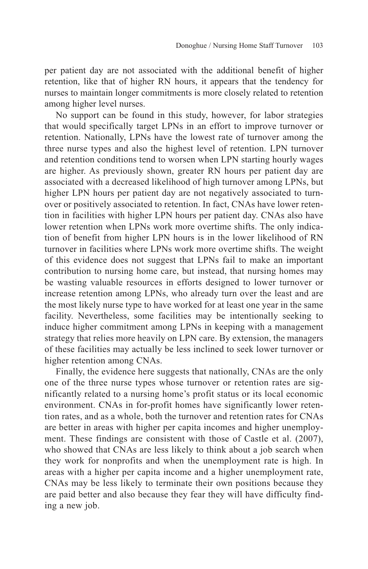per patient day are not associated with the additional benefit of higher retention, like that of higher RN hours, it appears that the tendency for nurses to maintain longer commitments is more closely related to retention among higher level nurses.

No support can be found in this study, however, for labor strategies that would specifically target LPNs in an effort to improve turnover or retention. Nationally, LPNs have the lowest rate of turnover among the three nurse types and also the highest level of retention. LPN turnover and retention conditions tend to worsen when LPN starting hourly wages are higher. As previously shown, greater RN hours per patient day are associated with a decreased likelihood of high turnover among LPNs, but higher LPN hours per patient day are not negatively associated to turnover or positively associated to retention. In fact, CNAs have lower retention in facilities with higher LPN hours per patient day. CNAs also have lower retention when LPNs work more overtime shifts. The only indication of benefit from higher LPN hours is in the lower likelihood of RN turnover in facilities where LPNs work more overtime shifts. The weight of this evidence does not suggest that LPNs fail to make an important contribution to nursing home care, but instead, that nursing homes may be wasting valuable resources in efforts designed to lower turnover or increase retention among LPNs, who already turn over the least and are the most likely nurse type to have worked for at least one year in the same facility. Nevertheless, some facilities may be intentionally seeking to induce higher commitment among LPNs in keeping with a management strategy that relies more heavily on LPN care. By extension, the managers of these facilities may actually be less inclined to seek lower turnover or higher retention among CNAs.

Finally, the evidence here suggests that nationally, CNAs are the only one of the three nurse types whose turnover or retention rates are significantly related to a nursing home's profit status or its local economic environment. CNAs in for-profit homes have significantly lower retention rates, and as a whole, both the turnover and retention rates for CNAs are better in areas with higher per capita incomes and higher unemployment. These findings are consistent with those of Castle et al. (2007), who showed that CNAs are less likely to think about a job search when they work for nonprofits and when the unemployment rate is high. In areas with a higher per capita income and a higher unemployment rate, CNAs may be less likely to terminate their own positions because they are paid better and also because they fear they will have difficulty finding a new job.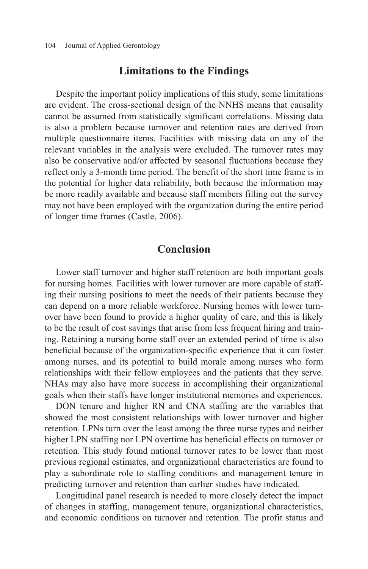# **Limitations to the Findings**

Despite the important policy implications of this study, some limitations are evident. The cross-sectional design of the NNHS means that causality cannot be assumed from statistically significant correlations. Missing data is also a problem because turnover and retention rates are derived from multiple questionnaire items. Facilities with missing data on any of the relevant variables in the analysis were excluded. The turnover rates may also be conservative and/or affected by seasonal fluctuations because they reflect only a 3-month time period. The benefit of the short time frame is in the potential for higher data reliability, both because the information may be more readily available and because staff members filling out the survey may not have been employed with the organization during the entire period of longer time frames (Castle, 2006).

#### **Conclusion**

Lower staff turnover and higher staff retention are both important goals for nursing homes. Facilities with lower turnover are more capable of staffing their nursing positions to meet the needs of their patients because they can depend on a more reliable workforce. Nursing homes with lower turnover have been found to provide a higher quality of care, and this is likely to be the result of cost savings that arise from less frequent hiring and training. Retaining a nursing home staff over an extended period of time is also beneficial because of the organization-specific experience that it can foster among nurses, and its potential to build morale among nurses who form relationships with their fellow employees and the patients that they serve. NHAs may also have more success in accomplishing their organizational goals when their staffs have longer institutional memories and experiences.

DON tenure and higher RN and CNA staffing are the variables that showed the most consistent relationships with lower turnover and higher retention. LPNs turn over the least among the three nurse types and neither higher LPN staffing nor LPN overtime has beneficial effects on turnover or retention. This study found national turnover rates to be lower than most previous regional estimates, and organizational characteristics are found to play a subordinate role to staffing conditions and management tenure in predicting turnover and retention than earlier studies have indicated.

Longitudinal panel research is needed to more closely detect the impact of changes in staffing, management tenure, organizational characteristics, and economic conditions on turnover and retention. The profit status and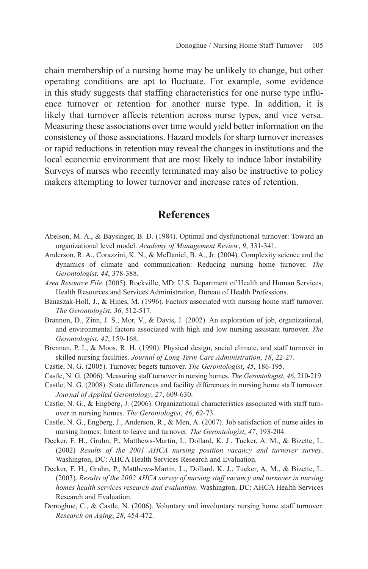chain membership of a nursing home may be unlikely to change, but other operating conditions are apt to fluctuate. For example, some evidence in this study suggests that staffing characteristics for one nurse type influence turnover or retention for another nurse type. In addition, it is likely that turnover affects retention across nurse types, and vice versa. Measuring these associations over time would yield better information on the consistency of those associations. Hazard models for sharp turnover increases or rapid reductions in retention may reveal the changes in institutions and the local economic environment that are most likely to induce labor instability. Surveys of nurses who recently terminated may also be instructive to policy makers attempting to lower turnover and increase rates of retention.

#### **References**

- Abelson, M. A., & Baysinger, B. D. (1984). Optimal and dysfunctional turnover: Toward an organizational level model. *Academy of Management Review*, *9*, 331-341.
- Anderson, R. A., Corazzini, K. N., & McDaniel, B. A., Jr. (2004). Complexity science and the dynamics of climate and communication: Reducing nursing home turnover. *The Gerontologist*, *44*, 378-388.
- *Area Resource File*. (2005). Rockville, MD: U.S. Department of Health and Human Services, Health Resources and Services Administration, Bureau of Health Professions.
- Banaszak-Holl, J., & Hines, M. (1996). Factors associated with nursing home staff turnover. *The Gerontologist*, *36*, 512-517.
- Brannon, D., Zinn, J. S., Mor, V., & Davis, J. (2002). An exploration of job, organizational, and environmental factors associated with high and low nursing assistant turnover. *The Gerontologist*, *42*, 159-168.
- Brennan, P. I., & Moos, R. H. (1990). Physical design, social climate, and staff turnover in skilled nursing facilities. *Journal of Long-Term Care Administration*, *18*, 22-27.
- Castle, N. G. (2005). Turnover begets turnover. *The Gerontologist*, *45*, 186-195.
- Castle, N. G. (2006). Measuring staff turnover in nursing homes. *The Gerontologist*, *46*, 210-219.
- Castle, N. G. (2008). State differences and facility differences in nursing home staff turnover. *Journal of Applied Gerontology*, *27*, 609-630.
- Castle, N. G., & Engberg, J. (2006). Organizational characteristics associated with staff turnover in nursing homes. *The Gerontologist*, *46*, 62-73.
- Castle, N. G., Engberg, J., Anderson, R., & Men, A. (2007). Job satisfaction of nurse aides in nursing homes: Intent to leave and turnover. *The Gerontologist*, *47*, 193-204.
- Decker, F. H., Gruhn, P., Matthews-Martin, L. Dollard, K. J., Tucker, A. M., & Bizette, L. (2002) *Results of the 2001 AHCA nursing position vacancy and turnover survey*. Washington, DC: AHCA Health Services Research and Evaluation.
- Decker, F. H., Gruhn, P., Matthews-Martin, L., Dollard, K. J., Tucker, A. M., & Bizette, L. (2003). *Results of the 2002 AHCA survey of nursing staff vacancy and turnover in nursing homes health services research and evaluation*. Washington, DC: AHCA Health Services Research and Evaluation.
- Donoghue, C., & Castle, N. (2006). Voluntary and involuntary nursing home staff turnover. *Research on Aging*, *28*, 454-472.